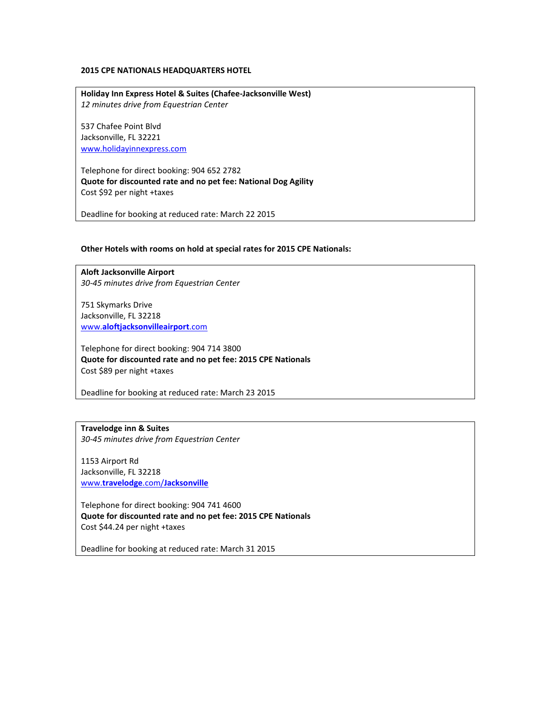## **2015 CPE NATIONALS HEADQUARTERS HOTEL**

**Holiday Inn Express Hotel & Suites (Chafee-Jacksonville West)** *12 minutes drive from Equestrian Center*

537 Chafee Point Blvd Jacksonville, FL 32221 [www.holidayinnexpress.com](http://www.holidayinnexpress.com/)

Telephone for direct booking: 904 652 2782 **Quote for discounted rate and no pet fee: National Dog Agility** Cost \$92 per night +taxes

Deadline for booking at reduced rate: March 22 2015

## **Other Hotels with rooms on hold at special rates for 2015 CPE Nationals:**

**Aloft Jacksonville Airport** *30-45 minutes drive from Equestrian Center*

751 Skymarks Drive Jacksonville, FL 32218 www.**[aloftjacksonvilleairport](http://www.aloftjacksonvilleairport.com/)**.com

Telephone for direct booking: 904 714 3800 **Quote for discounted rate and no pet fee: 2015 CPE Nationals** Cost \$89 per night +taxes

Deadline for booking at reduced rate: March 23 2015

**Travelodge inn & Suites** *30-45 minutes drive from Equestrian Center*

1153 Airport Rd Jacksonville, FL 32218 www.**travelodge**.com/**[Jacksonville](http://www.travelodge.com/Jacksonville)**

Telephone for direct booking: 904 741 4600 **Quote for discounted rate and no pet fee: 2015 CPE Nationals** Cost \$44.24 per night +taxes

Deadline for booking at reduced rate: March 31 2015